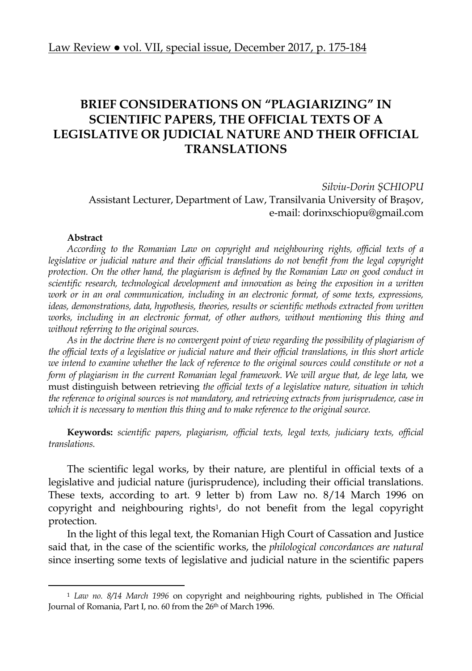## **BRIEF CONSIDERATIONS ON "PLAGIARIZING" IN SCIENTIFIC PAPERS, THE OFFICIAL TEXTS OF A LEGISLATIVE OR JUDICIAL NATURE AND THEIR OFFICIAL TRANSLATIONS**

*Silviu-Dorin ŞCHIOPU*  Assistant Lecturer, Department of Law, Transilvania University of Braşov, e-mail: dorinxschiopu@gmail.com

## **Abstract**

 $\overline{\phantom{a}}$ 

*According to the Romanian Law on copyright and neighbouring rights, official texts of a legislative or judicial nature and their official translations do not benefit from the legal copyright protection. On the other hand, the plagiarism is defined by the Romanian Law on good conduct in scientific research, technological development and innovation as being the exposition in a written work or in an oral communication, including in an electronic format, of some texts, expressions, ideas, demonstrations, data, hypothesis, theories, results or scientific methods extracted from written works, including in an electronic format, of other authors, without mentioning this thing and without referring to the original sources.* 

*As in the doctrine there is no convergent point of view regarding the possibility of plagiarism of the official texts of a legislative or judicial nature and their official translations, in this short article we intend to examine whether the lack of reference to the original sources could constitute or not a form of plagiarism in the current Romanian legal framework. We will argue that, de lege lata,* we must distinguish between retrieving *the official texts of a legislative nature, situation in which the reference to original sources is not mandatory, and retrieving extracts from jurisprudence, case in which it is necessary to mention this thing and to make reference to the original source.* 

**Keywords:** *scientific papers, plagiarism, official texts, legal texts, judiciary texts, official translations.*

The scientific legal works, by their nature, are plentiful in official texts of a legislative and judicial nature (jurisprudence), including their official translations. These texts, according to art. 9 letter b) from Law no. 8/14 March 1996 on copyright and neighbouring rights1, do not benefit from the legal copyright protection.

In the light of this legal text, the Romanian High Court of Cassation and Justice said that, in the case of the scientific works, the *philological concordances are natural*  since inserting some texts of legislative and judicial nature in the scientific papers

<sup>1</sup> *Law no. 8/14 March 1996* on copyright and neighbouring rights, published in The Official Journal of Romania, Part I, no. 60 from the 26th of March 1996.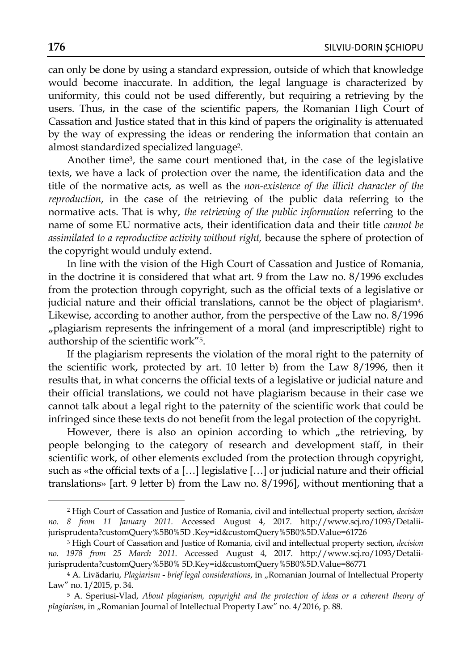can only be done by using a standard expression, outside of which that knowledge would become inaccurate. In addition, the legal language is characterized by uniformity, this could not be used differently, but requiring a retrieving by the users. Thus, in the case of the scientific papers, the Romanian High Court of Cassation and Justice stated that in this kind of papers the originality is attenuated by the way of expressing the ideas or rendering the information that contain an almost standardized specialized language2.

Another time3, the same court mentioned that, in the case of the legislative texts, we have a lack of protection over the name, the identification data and the title of the normative acts, as well as the *non-existence of the illicit character of the reproduction*, in the case of the retrieving of the public data referring to the normative acts. That is why, *the retrieving of the public information* referring to the name of some EU normative acts, their identification data and their title *cannot be assimilated to a reproductive activity without right,* because the sphere of protection of the copyright would unduly extend.

In line with the vision of the High Court of Cassation and Justice of Romania, in the doctrine it is considered that what art. 9 from the Law no. 8/1996 excludes from the protection through copyright, such as the official texts of a legislative or judicial nature and their official translations, cannot be the object of plagiarism4. Likewise, according to another author, from the perspective of the Law no. 8/1996 "plagiarism represents the infringement of a moral (and imprescriptible) right to authorship of the scientific work"5.

If the plagiarism represents the violation of the moral right to the paternity of the scientific work, protected by art. 10 letter b) from the Law 8/1996, then it results that, in what concerns the official texts of a legislative or judicial nature and their official translations, we could not have plagiarism because in their case we cannot talk about a legal right to the paternity of the scientific work that could be infringed since these texts do not benefit from the legal protection of the copyright.

However, there is also an opinion according to which  $n$ , the retrieving, by people belonging to the category of research and development staff, in their scientific work, of other elements excluded from the protection through copyright, such as «the official texts of a […] legislative […] or judicial nature and their official translations» [art. 9 letter b) from the Law no. 8/1996], without mentioning that a

 $\overline{a}$ 

<sup>2</sup> High Court of Cassation and Justice of Romania, civil and intellectual property section, *decision no. 8 from 11 January 2011*. Accessed August 4, 2017. http://www.scj.ro/1093/Detaliijurisprudenta?customQuery%5B0%5D .Key=id&customQuery%5B0%5D.Value=61726

<sup>3</sup> High Court of Cassation and Justice of Romania, civil and intellectual property section, *decision no. 1978 from 25 March 2011*. Accessed August 4, 2017. http://www.scj.ro/1093/Detaliijurisprudenta?customQuery%5B0% 5D.Key=id&customQuery%5B0%5D.Value=86771

<sup>&</sup>lt;sup>4</sup> A. Livădariu, *Plagiarism - brief legal considerations*, in "Romanian Journal of Intellectual Property Law" no. 1/2015, p. 34.

<sup>5</sup> A. Speriusi-Vlad, *About plagiarism, copyright and the protection of ideas or a coherent theory of plagiarism*, in "Romanian Journal of Intellectual Property Law" no. 4/2016, p. 88.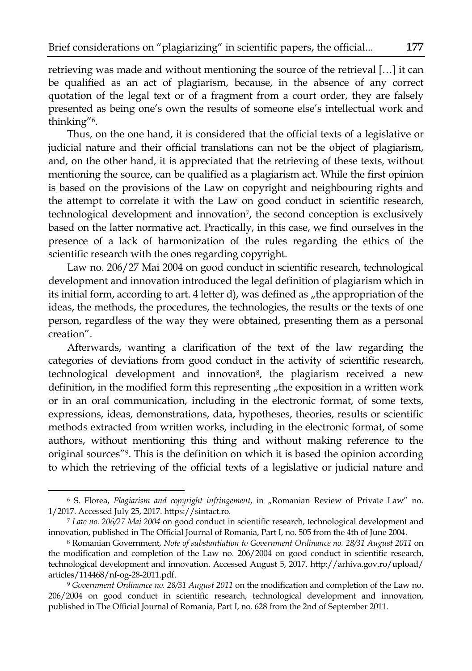retrieving was made and without mentioning the source of the retrieval […] it can be qualified as an act of plagiarism, because, in the absence of any correct quotation of the legal text or of a fragment from a court order, they are falsely presented as being one's own the results of someone else's intellectual work and thinking"6.

Thus, on the one hand, it is considered that the official texts of a legislative or judicial nature and their official translations can not be the object of plagiarism, and, on the other hand, it is appreciated that the retrieving of these texts, without mentioning the source, can be qualified as a plagiarism act. While the first opinion is based on the provisions of the Law on copyright and neighbouring rights and the attempt to correlate it with the Law on good conduct in scientific research, technological development and innovation7, the second conception is exclusively based on the latter normative act. Practically, in this case, we find ourselves in the presence of a lack of harmonization of the rules regarding the ethics of the scientific research with the ones regarding copyright.

Law no. 206/27 Mai 2004 on good conduct in scientific research, technological development and innovation introduced the legal definition of plagiarism which in its initial form, according to art. 4 letter d), was defined as , the appropriation of the ideas, the methods, the procedures, the technologies, the results or the texts of one person, regardless of the way they were obtained, presenting them as a personal creation".

Afterwards, wanting a clarification of the text of the law regarding the categories of deviations from good conduct in the activity of scientific research, technological development and innovation<sup>8</sup>, the plagiarism received a new definition, in the modified form this representing "the exposition in a written work or in an oral communication, including in the electronic format, of some texts, expressions, ideas, demonstrations, data, hypotheses, theories, results or scientific methods extracted from written works, including in the electronic format, of some authors, without mentioning this thing and without making reference to the original sources"9. This is the definition on which it is based the opinion according to which the retrieving of the official texts of a legislative or judicial nature and

l

<sup>&</sup>lt;sup>6</sup> S. Florea, *Plagiarism and copyright infringement*, in "Romanian Review of Private Law" no. 1/2017. Accessed July 25, 2017. https://sintact.ro.

<sup>7</sup> *Law no. 206/27 Mai 2004* on good conduct in scientific research, technological development and innovation, published in The Official Journal of Romania, Part I, no. 505 from the 4th of June 2004.

<sup>8</sup> Romanian Government, *Note of substantiation to Government Ordinance no. 28/31 August 2011* on the modification and completion of the Law no. 206/2004 on good conduct in scientific research, technological development and innovation. Accessed August 5, 2017. http://arhiva.gov.ro/upload/ articles/114468/nf-og-28-2011.pdf.

<sup>9</sup> *Government Ordinance no. 28/31 August 2011* on the modification and completion of the Law no. 206/2004 on good conduct in scientific research, technological development and innovation, published in The Official Journal of Romania, Part I, no. 628 from the 2nd of September 2011.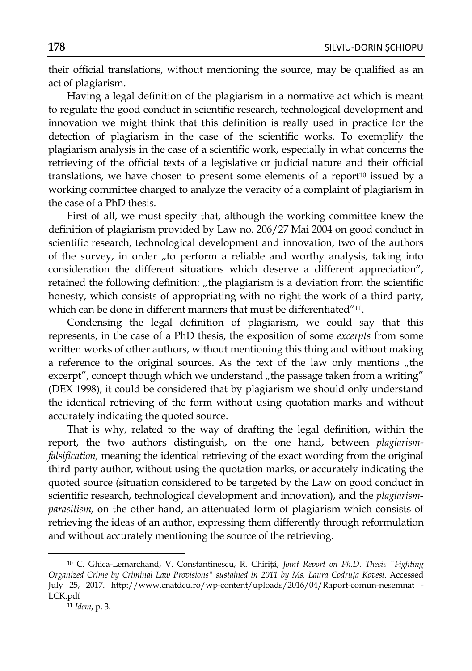their official translations, without mentioning the source, may be qualified as an act of plagiarism.

Having a legal definition of the plagiarism in a normative act which is meant to regulate the good conduct in scientific research, technological development and innovation we might think that this definition is really used in practice for the detection of plagiarism in the case of the scientific works. To exemplify the plagiarism analysis in the case of a scientific work, especially in what concerns the retrieving of the official texts of a legislative or judicial nature and their official translations, we have chosen to present some elements of a report $10$  issued by a working committee charged to analyze the veracity of a complaint of plagiarism in the case of a PhD thesis.

First of all, we must specify that, although the working committee knew the definition of plagiarism provided by Law no. 206/27 Mai 2004 on good conduct in scientific research, technological development and innovation, two of the authors of the survey, in order "to perform a reliable and worthy analysis, taking into consideration the different situations which deserve a different appreciation", retained the following definition: "the plagiarism is a deviation from the scientific honesty, which consists of appropriating with no right the work of a third party, which can be done in different manners that must be differentiated"<sup>11</sup>.

Condensing the legal definition of plagiarism, we could say that this represents, in the case of a PhD thesis, the exposition of some *excerpts* from some written works of other authors, without mentioning this thing and without making a reference to the original sources. As the text of the law only mentions  $n$  the excerpt", concept though which we understand "the passage taken from a writing" (DEX 1998), it could be considered that by plagiarism we should only understand the identical retrieving of the form without using quotation marks and without accurately indicating the quoted source.

That is why, related to the way of drafting the legal definition, within the report, the two authors distinguish, on the one hand, between *plagiarismfalsification,* meaning the identical retrieving of the exact wording from the original third party author, without using the quotation marks, or accurately indicating the quoted source (situation considered to be targeted by the Law on good conduct in scientific research, technological development and innovation), and the *plagiarismparasitism,* on the other hand, an attenuated form of plagiarism which consists of retrieving the ideas of an author, expressing them differently through reformulation and without accurately mentioning the source of the retrieving.

<sup>10</sup> C. Ghica-Lemarchand, V. Constantinescu, R. Chiriţă, *Joint Report on Ph.D. Thesis "Fighting Organized Crime by Criminal Law Provisions" sustained in 2011 by Ms. Laura Codruţa Kovesi*. Accessed July 25, 2017. http://www.cnatdcu.ro/wp-content/uploads/2016/04/Raport-comun-nesemnat - LCK.pdf

<sup>11</sup> *Idem*, p. 3.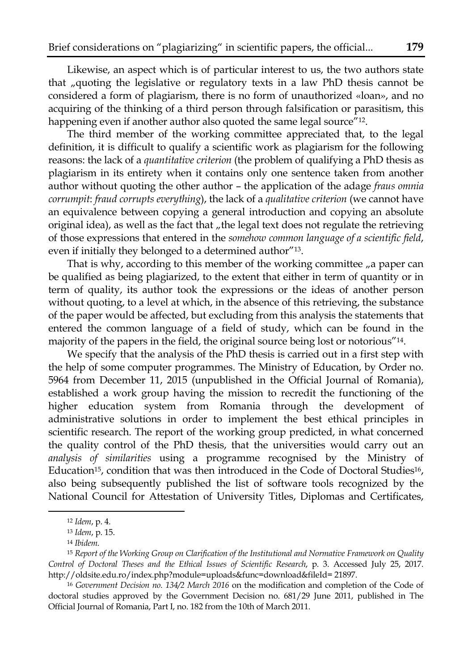Likewise, an aspect which is of particular interest to us, the two authors state that "quoting the legislative or regulatory texts in a law PhD thesis cannot be considered a form of plagiarism, there is no form of unauthorized «loan», and no acquiring of the thinking of a third person through falsification or parasitism, this happening even if another author also quoted the same legal source"<sup>12</sup>.

The third member of the working committee appreciated that, to the legal definition, it is difficult to qualify a scientific work as plagiarism for the following reasons: the lack of a *quantitative criterion* (the problem of qualifying a PhD thesis as plagiarism in its entirety when it contains only one sentence taken from another author without quoting the other author – the application of the adage *fraus omnia corrumpit*: *fraud corrupts everything*), the lack of a *qualitative criterion* (we cannot have an equivalence between copying a general introduction and copying an absolute original idea), as well as the fact that "the legal text does not regulate the retrieving of those expressions that entered in the *somehow common language of a scientific field*, even if initially they belonged to a determined author"13.

That is why, according to this member of the working committee  $\mu$  a paper can be qualified as being plagiarized, to the extent that either in term of quantity or in term of quality, its author took the expressions or the ideas of another person without quoting, to a level at which, in the absence of this retrieving, the substance of the paper would be affected, but excluding from this analysis the statements that entered the common language of a field of study, which can be found in the majority of the papers in the field, the original source being lost or notorious"14.

We specify that the analysis of the PhD thesis is carried out in a first step with the help of some computer programmes. The Ministry of Education, by Order no. 5964 from December 11, 2015 (unpublished in the Official Journal of Romania), established a work group having the mission to recredit the functioning of the higher education system from Romania through the development of administrative solutions in order to implement the best ethical principles in scientific research. The report of the working group predicted, in what concerned the quality control of the PhD thesis, that the universities would carry out an *analysis of similarities* using a programme recognised by the Ministry of Education15, condition that was then introduced in the Code of Doctoral Studies16, also being subsequently published the list of software tools recognized by the National Council for Attestation of University Titles, Diplomas and Certificates,

<sup>12</sup> *Idem*, p. 4.

<sup>13</sup> *Idem*, p. 15.

<sup>14</sup> *Ibidem.* 

<sup>15</sup> *Report of the Working Group on Clarification of the Institutional and Normative Framework on Quality Control of Doctoral Theses and the Ethical Issues of Scientific Research*, p. 3. Accessed July 25, 2017. http://oldsite.edu.ro/index.php?module=uploads&func=download&fileId= 21897.

<sup>16</sup> *Government Decision no. 134/2 March 2016* on the modification and completion of the Code of doctoral studies approved by the Government Decision no. 681/29 June 2011, published in The Official Journal of Romania, Part I, no. 182 from the 10th of March 2011.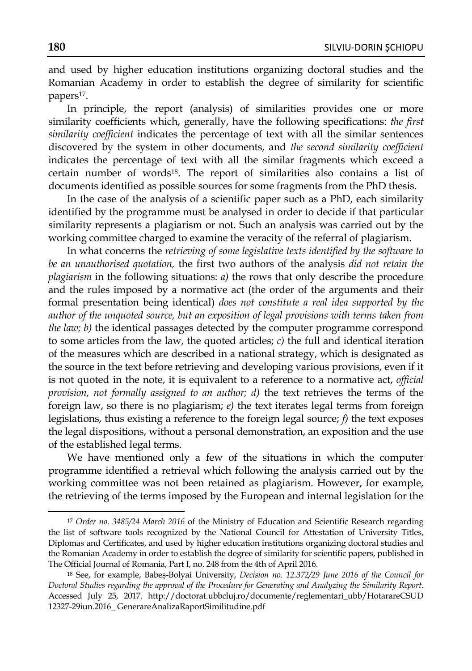and used by higher education institutions organizing doctoral studies and the Romanian Academy in order to establish the degree of similarity for scientific papers<sup>17</sup>.

In principle, the report (analysis) of similarities provides one or more similarity coefficients which, generally, have the following specifications: *the first similarity coefficient* indicates the percentage of text with all the similar sentences discovered by the system in other documents, and *the second similarity coefficient*  indicates the percentage of text with all the similar fragments which exceed a certain number of words18. The report of similarities also contains a list of documents identified as possible sources for some fragments from the PhD thesis.

In the case of the analysis of a scientific paper such as a PhD, each similarity identified by the programme must be analysed in order to decide if that particular similarity represents a plagiarism or not. Such an analysis was carried out by the working committee charged to examine the veracity of the referral of plagiarism.

In what concerns the *retrieving of some legislative texts identified by the software to be an unauthorised quotation,* the first two authors of the analysis *did not retain the plagiarism* in the following situations: *a*) the rows that only describe the procedure and the rules imposed by a normative act (the order of the arguments and their formal presentation being identical) *does not constitute a real idea supported by the author of the unquoted source, but an exposition of legal provisions with terms taken from the law; b)* the identical passages detected by the computer programme correspond to some articles from the law, the quoted articles; *c)* the full and identical iteration of the measures which are described in a national strategy, which is designated as the source in the text before retrieving and developing various provisions, even if it is not quoted in the note, it is equivalent to a reference to a normative act, *official provision, not formally assigned to an author; d)* the text retrieves the terms of the foreign law, so there is no plagiarism; *e)* the text iterates legal terms from foreign legislations, thus existing a reference to the foreign legal source; *f)* the text exposes the legal dispositions, without a personal demonstration, an exposition and the use of the established legal terms.

We have mentioned only a few of the situations in which the computer programme identified a retrieval which following the analysis carried out by the working committee was not been retained as plagiarism. However, for example, the retrieving of the terms imposed by the European and internal legislation for the

<sup>17</sup> *Order no. 3485/24 March 2016* of the Ministry of Education and Scientific Research regarding the list of software tools recognized by the National Council for Attestation of University Titles, Diplomas and Certificates, and used by higher education institutions organizing doctoral studies and the Romanian Academy in order to establish the degree of similarity for scientific papers, published in The Official Journal of Romania, Part I, no. 248 from the 4th of April 2016.

<sup>18</sup> See, for example, Babeş-Bolyai University, *Decision no. 12.372/29 June 2016 of the Council for Doctoral Studies regarding the approval of the Procedure for Generating and Analyzing the Similarity Report*. Accessed July 25, 2017. http://doctorat.ubbcluj.ro/documente/reglementari\_ubb/HotarareCSUD 12327-29iun.2016\_ GenerareAnalizaRaportSimilitudine.pdf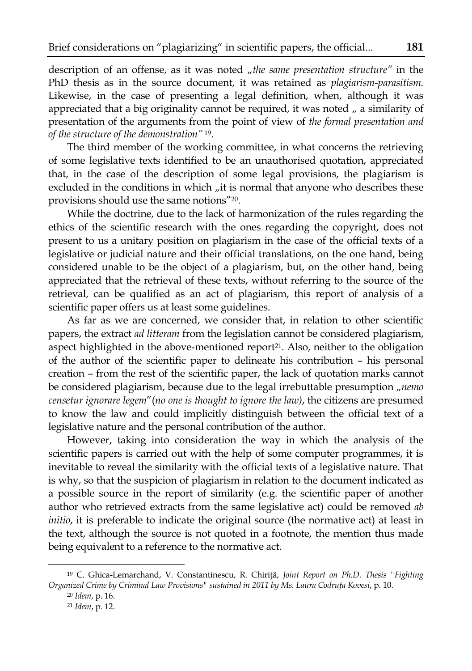description of an offense, as it was noted *f*, the same presentation structure" in the PhD thesis as in the source document, it was retained as *plagiarism-parasitism.* Likewise, in the case of presenting a legal definition, when, although it was appreciated that a big originality cannot be required, it was noted  $\mu$  a similarity of presentation of the arguments from the point of view of *the formal presentation and of the structure of the demonstration"* 19.

The third member of the working committee, in what concerns the retrieving of some legislative texts identified to be an unauthorised quotation, appreciated that, in the case of the description of some legal provisions, the plagiarism is excluded in the conditions in which  $n$  it is normal that anyone who describes these provisions should use the same notions"20.

While the doctrine, due to the lack of harmonization of the rules regarding the ethics of the scientific research with the ones regarding the copyright, does not present to us a unitary position on plagiarism in the case of the official texts of a legislative or judicial nature and their official translations, on the one hand, being considered unable to be the object of a plagiarism, but, on the other hand, being appreciated that the retrieval of these texts, without referring to the source of the retrieval, can be qualified as an act of plagiarism, this report of analysis of a scientific paper offers us at least some guidelines.

As far as we are concerned, we consider that, in relation to other scientific papers, the extract *ad litteram* from the legislation cannot be considered plagiarism, aspect highlighted in the above-mentioned report<sup>21</sup>. Also, neither to the obligation of the author of the scientific paper to delineate his contribution – his personal creation – from the rest of the scientific paper, the lack of quotation marks cannot be considered plagiarism, because due to the legal irrebuttable presumption "*nemo censetur ignorare legem*"(*no one is thought to ignore the law)*, the citizens are presumed to know the law and could implicitly distinguish between the official text of a legislative nature and the personal contribution of the author.

However, taking into consideration the way in which the analysis of the scientific papers is carried out with the help of some computer programmes, it is inevitable to reveal the similarity with the official texts of a legislative nature. That is why, so that the suspicion of plagiarism in relation to the document indicated as a possible source in the report of similarity (e.g. the scientific paper of another author who retrieved extracts from the same legislative act) could be removed *ab initio*, it is preferable to indicate the original source (the normative act) at least in the text, although the source is not quoted in a footnote, the mention thus made being equivalent to a reference to the normative act.

 $\overline{a}$ 

<sup>19</sup> C. Ghica-Lemarchand, V. Constantinescu, R. Chiriţă, *Joint Report on Ph.D. Thesis "Fighting Organized Crime by Criminal Law Provisions" sustained in 2011 by Ms. Laura Codruţa Kovesi*, p. 10.

<sup>20</sup> *Idem*, p. 16.

<sup>21</sup> *Idem*, p. 12.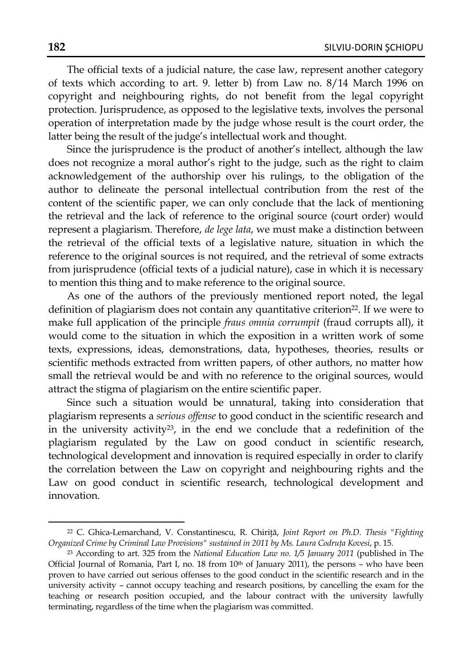The official texts of a judicial nature, the case law, represent another category of texts which according to art. 9. letter b) from Law no. 8/14 March 1996 on copyright and neighbouring rights, do not benefit from the legal copyright protection. Jurisprudence, as opposed to the legislative texts, involves the personal operation of interpretation made by the judge whose result is the court order, the latter being the result of the judge's intellectual work and thought.

Since the jurisprudence is the product of another's intellect, although the law does not recognize a moral author's right to the judge, such as the right to claim acknowledgement of the authorship over his rulings, to the obligation of the author to delineate the personal intellectual contribution from the rest of the content of the scientific paper, we can only conclude that the lack of mentioning the retrieval and the lack of reference to the original source (court order) would represent a plagiarism. Therefore, *de lege lata*, we must make a distinction between the retrieval of the official texts of a legislative nature, situation in which the reference to the original sources is not required, and the retrieval of some extracts from jurisprudence (official texts of a judicial nature), case in which it is necessary to mention this thing and to make reference to the original source.

As one of the authors of the previously mentioned report noted, the legal definition of plagiarism does not contain any quantitative criterion<sup>22</sup>. If we were to make full application of the principle *fraus omnia corrumpit* (fraud corrupts all), it would come to the situation in which the exposition in a written work of some texts, expressions, ideas, demonstrations, data, hypotheses, theories, results or scientific methods extracted from written papers, of other authors, no matter how small the retrieval would be and with no reference to the original sources, would attract the stigma of plagiarism on the entire scientific paper.

Since such a situation would be unnatural, taking into consideration that plagiarism represents a *serious offense* to good conduct in the scientific research and in the university activity23, in the end we conclude that a redefinition of the plagiarism regulated by the Law on good conduct in scientific research, technological development and innovation is required especially in order to clarify the correlation between the Law on copyright and neighbouring rights and the Law on good conduct in scientific research, technological development and innovation.

<sup>22</sup> C. Ghica-Lemarchand, V. Constantinescu, R. Chiriţă, *Joint Report on Ph.D. Thesis "Fighting Organized Crime by Criminal Law Provisions" sustained in 2011 by Ms. Laura Codruţa Kovesi*, p. 15.

<sup>23</sup> According to art. 325 from the *National Education Law no. 1/5 January 2011* (published in The Official Journal of Romania, Part I, no. 18 from  $10<sup>th</sup>$  of January 2011), the persons – who have been proven to have carried out serious offenses to the good conduct in the scientific research and in the university activity – cannot occupy teaching and research positions, by cancelling the exam for the teaching or research position occupied, and the labour contract with the university lawfully terminating, regardless of the time when the plagiarism was committed.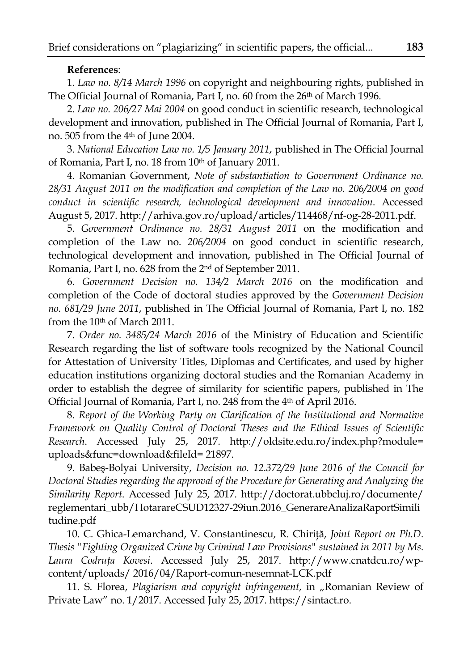## **References**:

1. *Law no. 8/14 March 1996* on copyright and neighbouring rights, published in The Official Journal of Romania, Part I, no. 60 from the 26<sup>th</sup> of March 1996.

2. *Law no. 206/27 Mai 2004* on good conduct in scientific research, technological development and innovation, published in The Official Journal of Romania, Part I, no. 505 from the 4th of June 2004.

3. *National Education Law no. 1/5 January 2011*, published in The Official Journal of Romania, Part I, no. 18 from 10th of January 2011.

4. Romanian Government, *Note of substantiation to Government Ordinance no. 28/31 August 2011 on the modification and completion of the Law no. 206/2004 on good conduct in scientific research, technological development and innovation*. Accessed August 5, 2017. http://arhiva.gov.ro/upload/articles/114468/nf-og-28-2011.pdf.

5. *Government Ordinance no. 28/31 August 2011* on the modification and completion of the Law no. *206/2004* on good conduct in scientific research, technological development and innovation, published in The Official Journal of Romania, Part I, no. 628 from the 2nd of September 2011.

6. *Government Decision no. 134/2 March 2016* on the modification and completion of the Code of doctoral studies approved by the *Government Decision no. 681/29 June 2011*, published in The Official Journal of Romania, Part I, no. 182 from the 10<sup>th</sup> of March 2011.

7. *Order no. 3485/24 March 2016* of the Ministry of Education and Scientific Research regarding the list of software tools recognized by the National Council for Attestation of University Titles, Diplomas and Certificates, and used by higher education institutions organizing doctoral studies and the Romanian Academy in order to establish the degree of similarity for scientific papers, published in The Official Journal of Romania, Part I, no. 248 from the 4<sup>th</sup> of April 2016.

8. *Report of the Working Party on Clarification of the Institutional and Normative Framework on Quality Control of Doctoral Theses and the Ethical Issues of Scientific Research*. Accessed July 25, 2017. http://oldsite.edu.ro/index.php?module= uploads&func=download&fileId= 21897.

9. Babeş-Bolyai University, *Decision no. 12.372/29 June 2016 of the Council for Doctoral Studies regarding the approval of the Procedure for Generating and Analyzing the Similarity Report*. Accessed July 25, 2017. http://doctorat.ubbcluj.ro/documente/ reglementari\_ubb/HotarareCSUD12327-29iun.2016\_GenerareAnalizaRaportSimili tudine.pdf

10. C. Ghica-Lemarchand, V. Constantinescu, R. Chiriţă, *Joint Report on Ph.D. Thesis "Fighting Organized Crime by Criminal Law Provisions" sustained in 2011 by Ms. Laura Codruţa Kovesi*. Accessed July 25, 2017. http://www.cnatdcu.ro/wpcontent/uploads/ 2016/04/Raport-comun-nesemnat-LCK.pdf

11. S. Florea, *Plagiarism and copyright infringement*, in "Romanian Review of Private Law" no. 1/2017. Accessed July 25, 2017. https://sintact.ro.